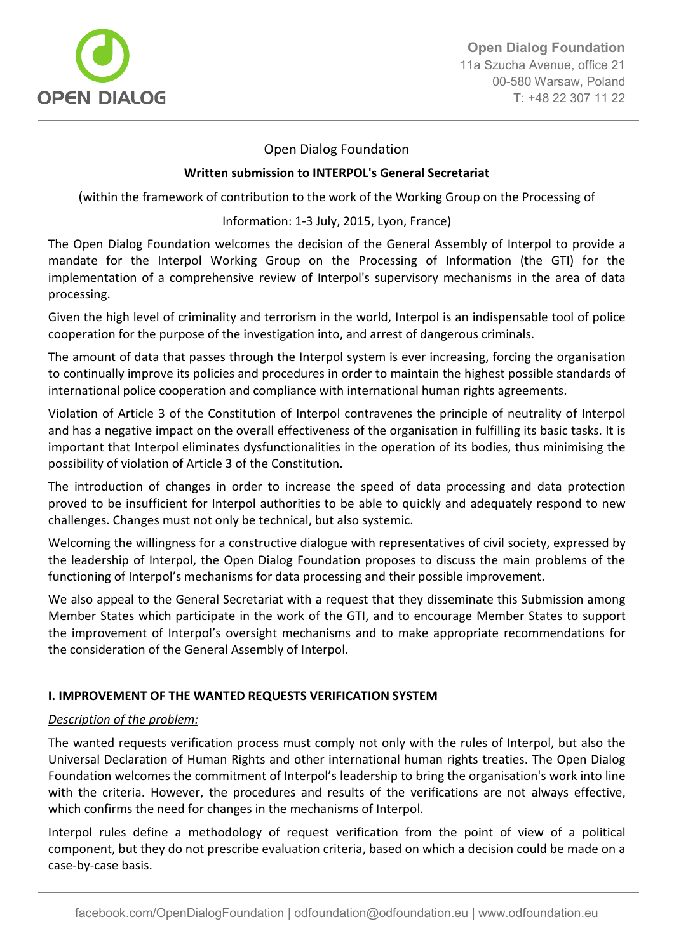

# Open Dialog Foundation

### **Written submission to INTERPOL's General Secretariat**

(within the framework of contribution to the work of the Working Group on the Processing of

### Information: 1-3 July, 2015, Lyon, France)

The Open Dialog Foundation welcomes the decision of the General Assembly of Interpol to provide a mandate for the Interpol Working Group on the Processing of Information (the GTI) for the implementation of a comprehensive review of Interpol's supervisory mechanisms in the area of data processing.

Given the high level of criminality and terrorism in the world, Interpol is an indispensable tool of police cooperation for the purpose of the investigation into, and arrest of dangerous criminals.

The amount of data that passes through the Interpol system is ever increasing, forcing the organisation to continually improve its policies and procedures in order to maintain the highest possible standards of international police cooperation and compliance with international human rights agreements.

Violation of Article 3 of the Constitution of Interpol contravenes the principle of neutrality of Interpol and has a negative impact on the overall effectiveness of the organisation in fulfilling its basic tasks. It is important that Interpol eliminates dysfunctionalities in the operation of its bodies, thus minimising the possibility of violation of Article 3 of the Constitution.

The introduction of changes in order to increase the speed of data processing and data protection proved to be insufficient for Interpol authorities to be able to quickly and adequately respond to new challenges. Changes must not only be technical, but also systemic.

Welcoming the willingness for a constructive dialogue with representatives of civil society, expressed by the leadership of Interpol, the Open Dialog Foundation proposes to discuss the main problems of the functioning of Interpol's mechanisms for data processing and their possible improvement.

We also appeal to the General Secretariat with a request that they disseminate this Submission among Member States which participate in the work of the GTI, and to encourage Member States to support the improvement of Interpol's oversight mechanisms and to make appropriate recommendations for the consideration of the General Assembly of Interpol.

# **I. IMPROVEMENT OF THE WANTED REQUESTS VERIFICATION SYSTEM**

# *Description of the problem:*

The wanted requests verification process must comply not only with the rules of Interpol, but also the Universal Declaration of Human Rights and other international human rights treaties. The Open Dialog Foundation welcomes the commitment of Interpol's leadership to bring the organisation's work into line with the criteria. However, the procedures and results of the verifications are not always effective, which confirms the need for changes in the mechanisms of Interpol.

Interpol rules define a methodology of request verification from the point of view of a political component, but they do not prescribe evaluation criteria, based on which a decision could be made on a case-by-case basis.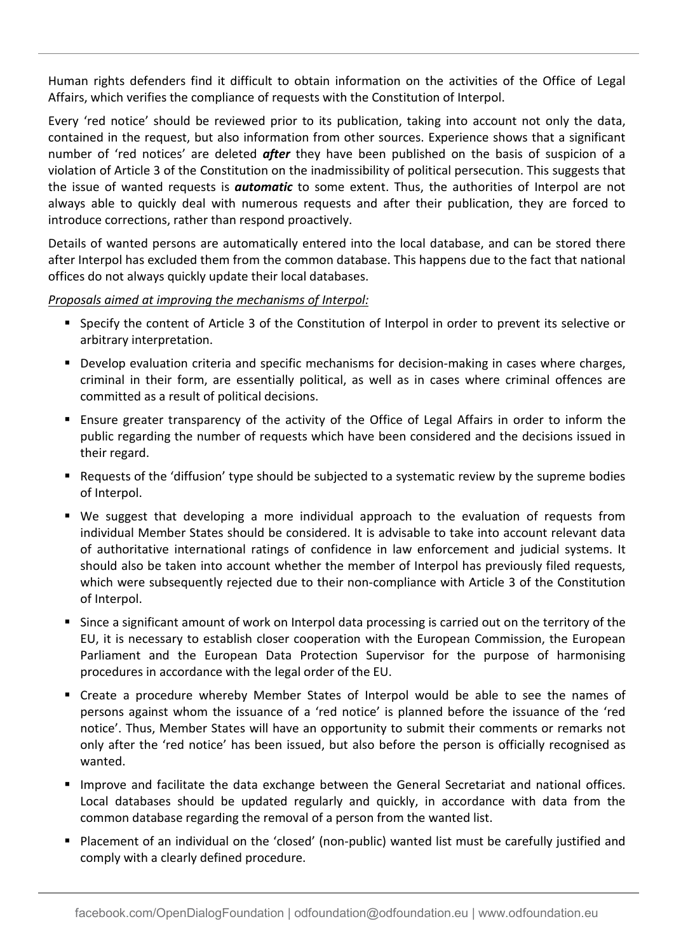Human rights defenders find it difficult to obtain information on the activities of the Office of Legal Affairs, which verifies the compliance of requests with the Constitution of Interpol.

Every 'red notice' should be reviewed prior to its publication, taking into account not only the data, contained in the request, but also information from other sources. Experience shows that a significant number of 'red notices' are deleted *after* they have been published on the basis of suspicion of a violation of Article 3 of the Constitution on the inadmissibility of political persecution. This suggests that the issue of wanted requests is *automatic* to some extent. Thus, the authorities of Interpol are not always able to quickly deal with numerous requests and after their publication, they are forced to introduce corrections, rather than respond proactively.

Details of wanted persons are automatically entered into the local database, and can be stored there after Interpol has excluded them from the common database. This happens due to the fact that national offices do not always quickly update their local databases.

*Proposals aimed at improving the mechanisms of Interpol:*

- Specify the content of Article 3 of the Constitution of Interpol in order to prevent its selective or arbitrary interpretation.
- **Develop evaluation criteria and specific mechanisms for decision-making in cases where charges,** criminal in their form, are essentially political, as well as in cases where criminal offences are committed as a result of political decisions.
- Ensure greater transparency of the activity of the Office of Legal Affairs in order to inform the public regarding the number of requests which have been considered and the decisions issued in their regard.
- Requests of the 'diffusion' type should be subjected to a systematic review by the supreme bodies of Interpol.
- We suggest that developing a more individual approach to the evaluation of requests from individual Member States should be considered. It is advisable to take into account relevant data of authoritative international ratings of confidence in law enforcement and judicial systems. It should also be taken into account whether the member of Interpol has previously filed requests, which were subsequently rejected due to their non-compliance with Article 3 of the Constitution of Interpol.
- Since a significant amount of work on Interpol data processing is carried out on the territory of the EU, it is necessary to establish closer cooperation with the European Commission, the European Parliament and the European Data Protection Supervisor for the purpose of harmonising procedures in accordance with the legal order of the EU.
- Create a procedure whereby Member States of Interpol would be able to see the names of persons against whom the issuance of a 'red notice' is planned before the issuance of the 'red notice'. Thus, Member States will have an opportunity to submit their comments or remarks not only after the 'red notice' has been issued, but also before the person is officially recognised as wanted.
- **Improve and facilitate the data exchange between the General Secretariat and national offices.** Local databases should be updated regularly and quickly, in accordance with data from the common database regarding the removal of a person from the wanted list.
- Placement of an individual on the 'closed' (non-public) wanted list must be carefully justified and comply with a clearly defined procedure.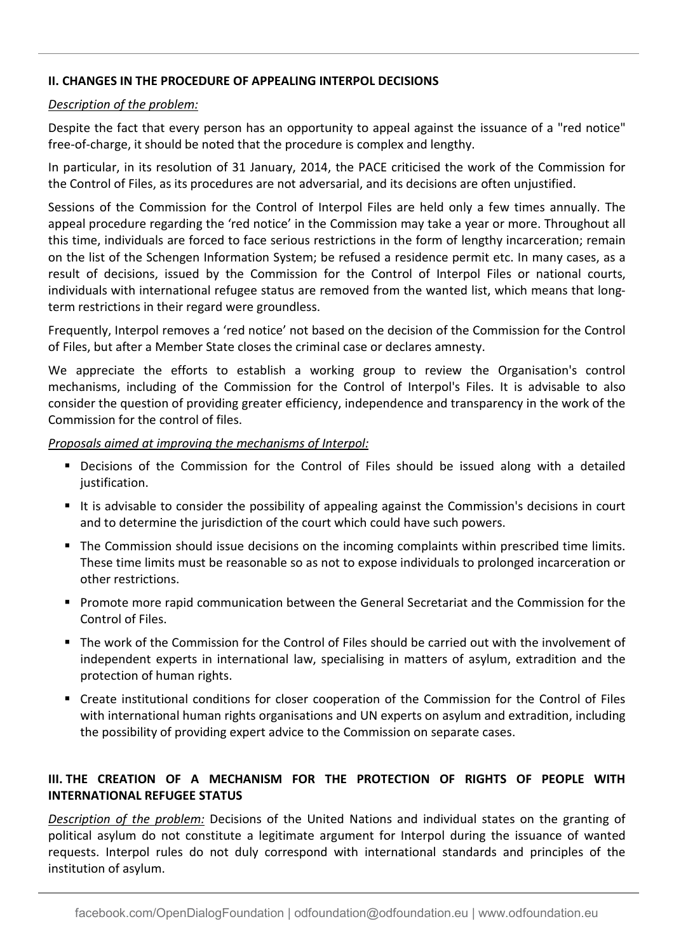# **II. CHANGES IN THE PROCEDURE OF APPEALING INTERPOL DECISIONS**

### *Description of the problem:*

Despite the fact that every person has an opportunity to appeal against the issuance of a "red notice" free-of-charge, it should be noted that the procedure is complex and lengthy.

In particular, in its resolution of 31 January, 2014, the PACE criticised the work of the Commission for the Control of Files, as its procedures are not adversarial, and its decisions are often unjustified.

Sessions of the Commission for the Control of Interpol Files are held only a few times annually. The appeal procedure regarding the 'red notice' in the Commission may take a year or more. Throughout all this time, individuals are forced to face serious restrictions in the form of lengthy incarceration; remain on the list of the Schengen Information System; be refused a residence permit etc. In many cases, as a result of decisions, issued by the Commission for the Control of Interpol Files or national courts, individuals with international refugee status are removed from the wanted list, which means that longterm restrictions in their regard were groundless.

Frequently, Interpol removes a 'red notice' not based on the decision of the Commission for the Control of Files, but after a Member State closes the criminal case or declares amnesty.

We appreciate the efforts to establish a working group to review the Organisation's control mechanisms, including of the Commission for the Control of Interpol's Files. It is advisable to also consider the question of providing greater efficiency, independence and transparency in the work of the Commission for the control of files.

*Proposals aimed at improving the mechanisms of Interpol:*

- Decisions of the Commission for the Control of Files should be issued along with a detailed justification.
- It is advisable to consider the possibility of appealing against the Commission's decisions in court and to determine the jurisdiction of the court which could have such powers.
- **The Commission should issue decisions on the incoming complaints within prescribed time limits.** These time limits must be reasonable so as not to expose individuals to prolonged incarceration or other restrictions.
- Promote more rapid communication between the General Secretariat and the Commission for the Control of Files.
- The work of the Commission for the Control of Files should be carried out with the involvement of independent experts in international law, specialising in matters of asylum, extradition and the protection of human rights.
- Create institutional conditions for closer cooperation of the Commission for the Control of Files with international human rights organisations and UN experts on asylum and extradition, including the possibility of providing expert advice to the Commission on separate cases.

# **III. THE CREATION OF A MECHANISM FOR THE PROTECTION OF RIGHTS OF PEOPLE WITH INTERNATIONAL REFUGEE STATUS**

*Description of the problem:* Decisions of the United Nations and individual states on the granting of political asylum do not constitute a legitimate argument for Interpol during the issuance of wanted requests. Interpol rules do not duly correspond with international standards and principles of the institution of asylum.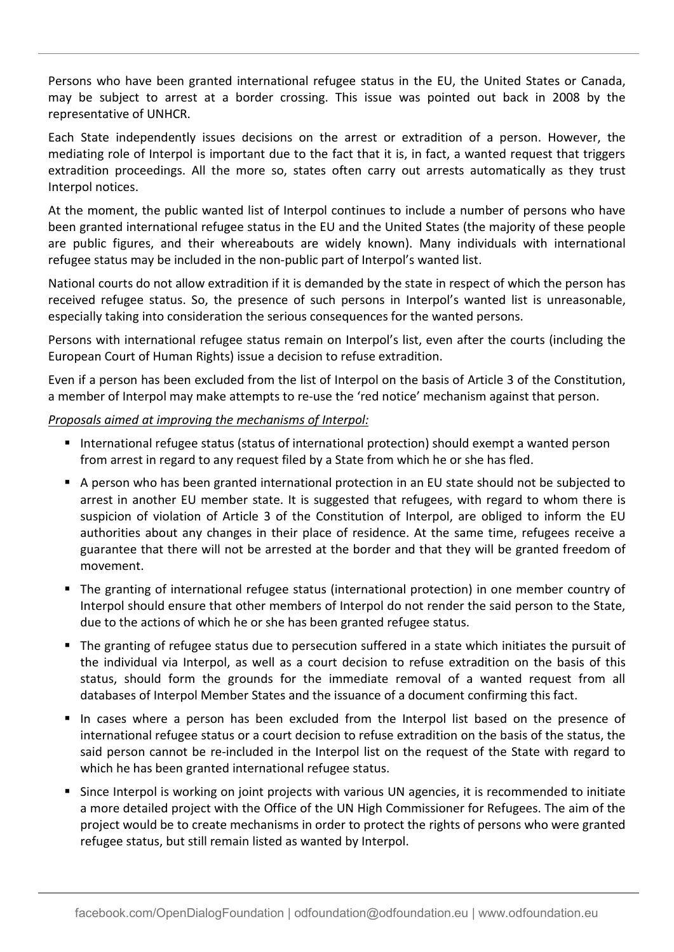Persons who have been granted international refugee status in the EU, the United States or Canada, may be subject to arrest at a border crossing. This issue was pointed out back in 2008 by the representative of UNHCR.

Each State independently issues decisions on the arrest or extradition of a person. However, the mediating role of Interpol is important due to the fact that it is, in fact, a wanted request that triggers extradition proceedings. All the more so, states often carry out arrests automatically as they trust Interpol notices.

At the moment, the public wanted list of Interpol continues to include a number of persons who have been granted international refugee status in the EU and the United States (the majority of these people are public figures, and their whereabouts are widely known). Many individuals with international refugee status may be included in the non-public part of Interpol's wanted list.

National courts do not allow extradition if it is demanded by the state in respect of which the person has received refugee status. So, the presence of such persons in Interpol's wanted list is unreasonable, especially taking into consideration the serious consequences for the wanted persons.

Persons with international refugee status remain on Interpol's list, even after the courts (including the European Court of Human Rights) issue a decision to refuse extradition.

Even if a person has been excluded from the list of Interpol on the basis of Article 3 of the Constitution, a member of Interpol may make attempts to re-use the 'red notice' mechanism against that person.

# *Proposals aimed at improving the mechanisms of Interpol:*

- International refugee status (status of international protection) should exempt a wanted person from arrest in regard to any request filed by a State from which he or she has fled.
- A person who has been granted international protection in an EU state should not be subjected to arrest in another EU member state. It is suggested that refugees, with regard to whom there is suspicion of violation of Article 3 of the Constitution of Interpol, are obliged to inform the EU authorities about any changes in their place of residence. At the same time, refugees receive a guarantee that there will not be arrested at the border and that they will be granted freedom of movement.
- The granting of international refugee status (international protection) in one member country of Interpol should ensure that other members of Interpol do not render the said person to the State, due to the actions of which he or she has been granted refugee status.
- The granting of refugee status due to persecution suffered in a state which initiates the pursuit of the individual via Interpol, as well as a court decision to refuse extradition on the basis of this status, should form the grounds for the immediate removal of a wanted request from all databases of Interpol Member States and the issuance of a document confirming this fact.
- In cases where a person has been excluded from the Interpol list based on the presence of international refugee status or a court decision to refuse extradition on the basis of the status, the said person cannot be re-included in the Interpol list on the request of the State with regard to which he has been granted international refugee status.
- **Since Interpol is working on joint projects with various UN agencies, it is recommended to initiate** a more detailed project with the Office of the UN High Commissioner for Refugees. The aim of the project would be to create mechanisms in order to protect the rights of persons who were granted refugee status, but still remain listed as wanted by Interpol.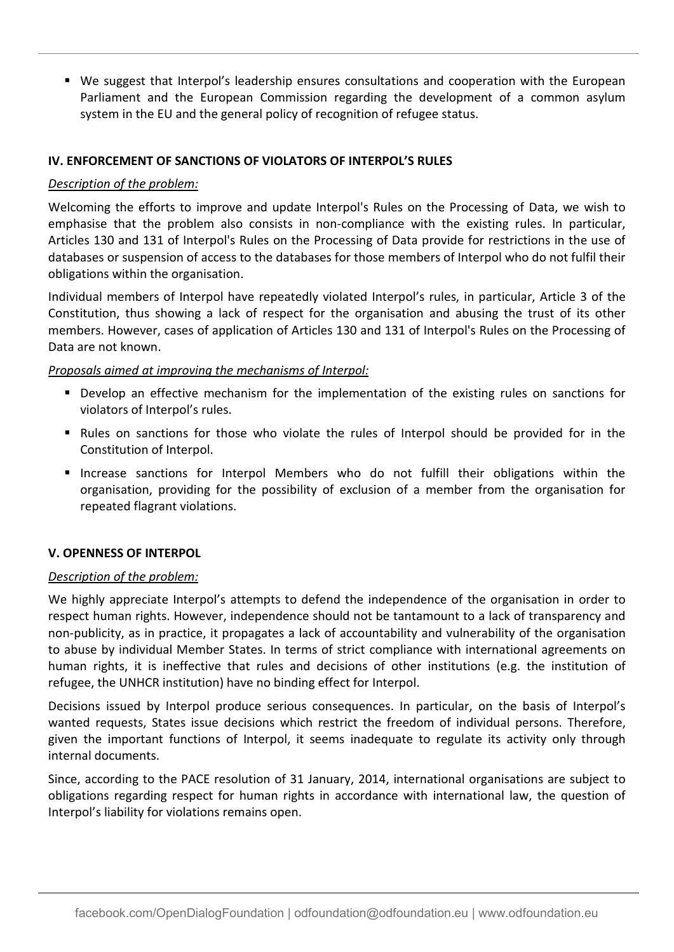We suggest that Interpol's leadership ensures consultations and cooperation with the European Parliament and the European Commission regarding the development of a common asylum system in the EU and the general policy of recognition of refugee status.

# **IV. ENFORCEMENT OF SANCTIONS OF VIOLATORS OF INTERPOL'S RULES**

### *Description of the problem:*

Welcoming the efforts to improve and update Interpol's Rules on the Processing of Data, we wish to emphasise that the problem also consists in non-compliance with the existing rules. In particular, Articles 130 and 131 of Interpol's Rules on the Processing of Data provide for restrictions in the use of databases or suspension of access to the databases for those members of Interpol who do not fulfil their obligations within the organisation.

Individual members of Interpol have repeatedly violated Interpol's rules, in particular, Article 3 of the Constitution, thus showing a lack of respect for the organisation and abusing the trust of its other members. However, cases of application of Articles 130 and 131 of Interpol's Rules on the Processing of Data are not known.

### *Proposals aimed at improving the mechanisms of Interpol:*

- Develop an effective mechanism for the implementation of the existing rules on sanctions for violators of Interpol's rules.
- Rules on sanctions for those who violate the rules of Interpol should be provided for in the Constitution of Interpol.
- Increase sanctions for Interpol Members who do not fulfill their obligations within the organisation, providing for the possibility of exclusion of a member from the organisation for repeated flagrant violations.

#### **V. OPENNESS OF INTERPOL**

#### *Description of the problem:*

We highly appreciate Interpol's attempts to defend the independence of the organisation in order to respect human rights. However, independence should not be tantamount to a lack of transparency and non-publicity, as in practice, it propagates a lack of accountability and vulnerability of the organisation to abuse by individual Member States. In terms of strict compliance with international agreements on human rights, it is ineffective that rules and decisions of other institutions (e.g. the institution of refugee, the UNHCR institution) have no binding effect for Interpol.

Decisions issued by Interpol produce serious consequences. In particular, on the basis of Interpol's wanted requests, States issue decisions which restrict the freedom of individual persons. Therefore, given the important functions of Interpol, it seems inadequate to regulate its activity only through internal documents.

Since, according to the PACE resolution of 31 January, 2014, international organisations are subject to obligations regarding respect for human rights in accordance with international law, the question of Interpol's liability for violations remains open.